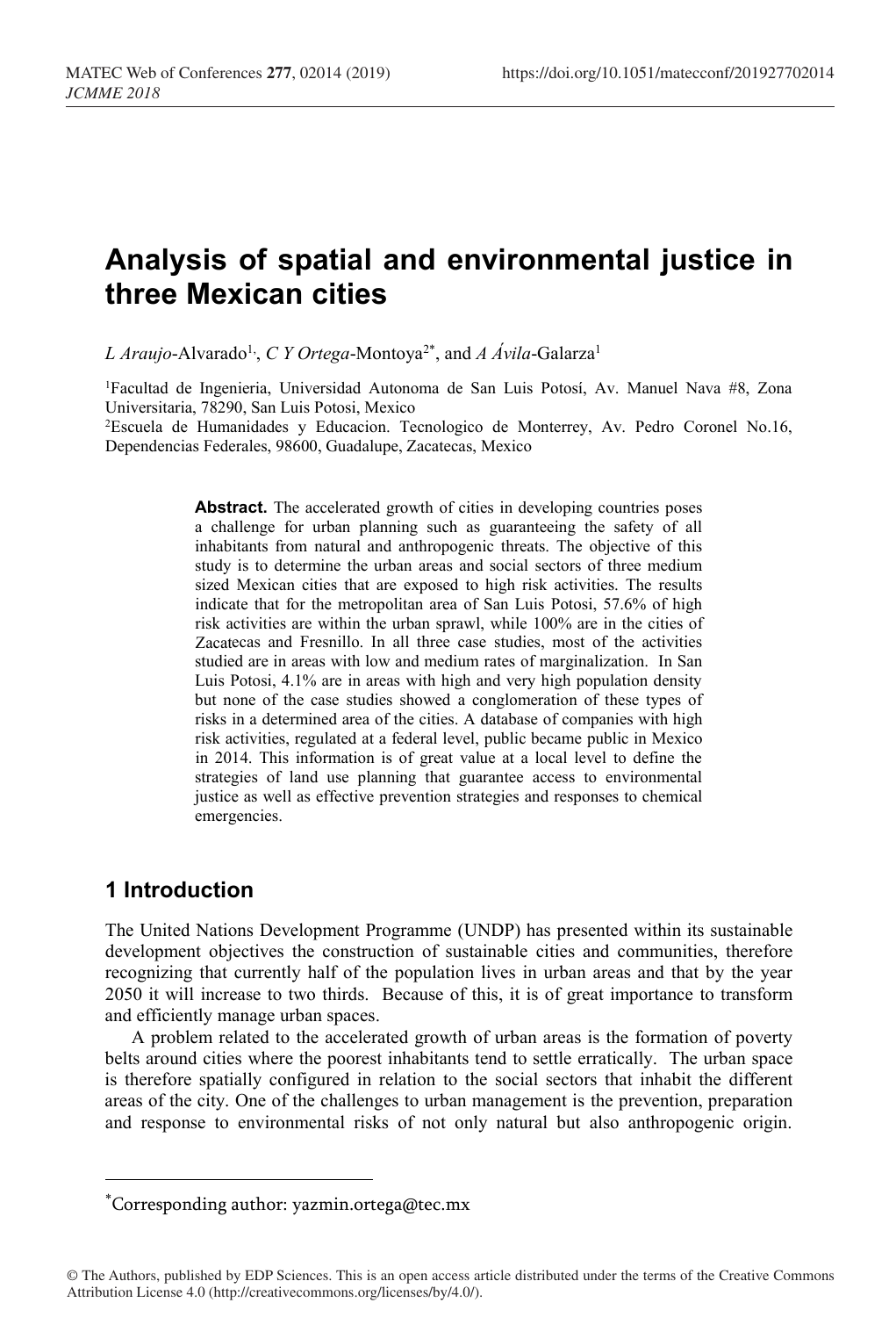# **Analysis of spatial and environmental justice in three Mexican cities**

 $L$  *Araujo*-Alvarado<sup>1,</sup>, *C Y Ortega*-Montoya<sup>2\*</sup>, and *A Ávila*-Galarza<sup>1</sup>

1 Facultad de Ingenieria, Universidad Autonoma de San Luis Potosí, Av. Manuel Nava #8, Zona Universitaria, 78290, San Luis Potosi, Mexico

2Escuela de Humanidades y Educacion. Tecnologico de Monterrey, Av. Pedro Coronel No.16, Dependencias Federales, 98600, Guadalupe, Zacatecas, Mexico

> Abstract. The accelerated growth of cities in developing countries poses a challenge for urban planning such as guaranteeing the safety of all inhabitants from natural and anthropogenic threats. The objective of this study is to determine the urban areas and social sectors of three medium sized Mexican cities that are exposed to high risk activities. The results indicate that for the metropolitan area of San Luis Potosi, 57.6% of high risk activities are within the urban sprawl, while 100% are in the cities of Zacatecas and Fresnillo. In all three case studies, most of the activities studied are in areas with low and medium rates of marginalization. In San Luis Potosi, 4.1% are in areas with high and very high population density but none of the case studies showed a conglomeration of these types of risks in a determined area of the cities. A database of companies with high risk activities, regulated at a federal level, public became public in Mexico in 2014. This information is of great value at a local level to define the strategies of land use planning that guarantee access to environmental justice as well as effective prevention strategies and responses to chemical emergencies.

## **1 Introduction**

The United Nations Development Programme (UNDP) has presented within its sustainable development objectives the construction of sustainable cities and communities, therefore recognizing that currently half of the population lives in urban areas and that by the year 2050 it will increase to two thirds. Because of this, it is of great importance to transform and efficiently manage urban spaces.

A problem related to the accelerated growth of urban areas is the formation of poverty belts around cities where the poorest inhabitants tend to settle erratically. The urban space is therefore spatially configured in relation to the social sectors that inhabit the different areas of the city. One of the challenges to urban management is the prevention, preparation and response to environmental risks of not only natural but also anthropogenic origin.

<sup>\*</sup> Corresponding author: yazmin.ortega@tec.mx

<sup>©</sup> The Authors, published by EDP Sciences. This is an open access article distributed under the terms of the Creative Commons Attribution License 4.0 (http://creativecommons.org/licenses/by/4.0/).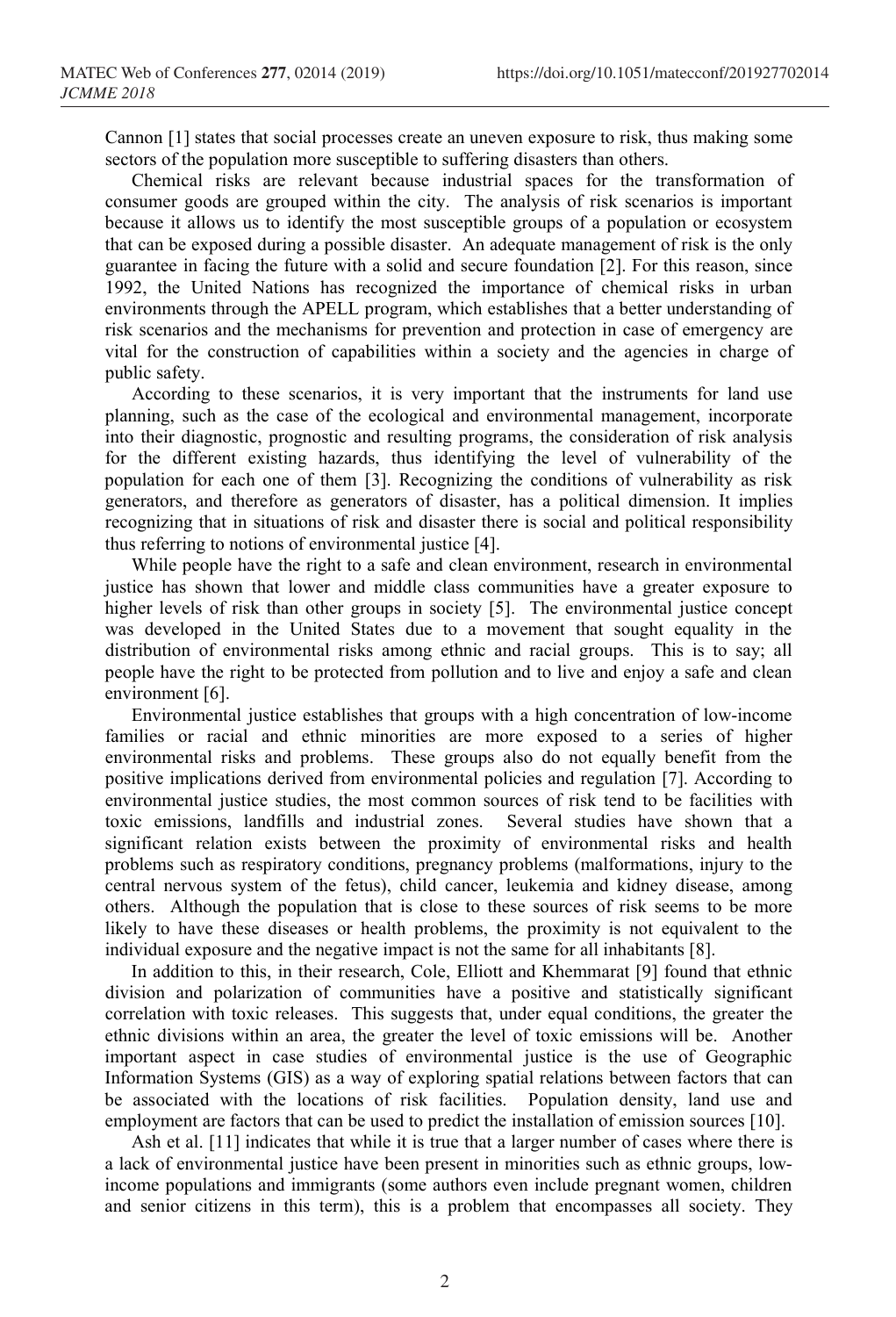Cannon [1] states that social processes create an uneven exposure to risk, thus making some sectors of the population more susceptible to suffering disasters than others.

Chemical risks are relevant because industrial spaces for the transformation of consumer goods are grouped within the city. The analysis of risk scenarios is important because it allows us to identify the most susceptible groups of a population or ecosystem that can be exposed during a possible disaster. An adequate management of risk is the only guarantee in facing the future with a solid and secure foundation [2]. For this reason, since 1992, the United Nations has recognized the importance of chemical risks in urban environments through the APELL program, which establishes that a better understanding of risk scenarios and the mechanisms for prevention and protection in case of emergency are vital for the construction of capabilities within a society and the agencies in charge of public safety.

According to these scenarios, it is very important that the instruments for land use planning, such as the case of the ecological and environmental management, incorporate into their diagnostic, prognostic and resulting programs, the consideration of risk analysis for the different existing hazards, thus identifying the level of vulnerability of the population for each one of them [3]. Recognizing the conditions of vulnerability as risk generators, and therefore as generators of disaster, has a political dimension. It implies recognizing that in situations of risk and disaster there is social and political responsibility thus referring to notions of environmental justice [4].

While people have the right to a safe and clean environment, research in environmental justice has shown that lower and middle class communities have a greater exposure to higher levels of risk than other groups in society [5]. The environmental justice concept was developed in the United States due to a movement that sought equality in the distribution of environmental risks among ethnic and racial groups. This is to say; all people have the right to be protected from pollution and to live and enjoy a safe and clean environment [6].

Environmental justice establishes that groups with a high concentration of low-income families or racial and ethnic minorities are more exposed to a series of higher environmental risks and problems. These groups also do not equally benefit from the positive implications derived from environmental policies and regulation [7]. According to environmental justice studies, the most common sources of risk tend to be facilities with toxic emissions, landfills and industrial zones. Several studies have shown that a significant relation exists between the proximity of environmental risks and health problems such as respiratory conditions, pregnancy problems (malformations, injury to the central nervous system of the fetus), child cancer, leukemia and kidney disease, among others. Although the population that is close to these sources of risk seems to be more likely to have these diseases or health problems, the proximity is not equivalent to the individual exposure and the negative impact is not the same for all inhabitants [8].

In addition to this, in their research, Cole, Elliott and Khemmarat [9] found that ethnic division and polarization of communities have a positive and statistically significant correlation with toxic releases. This suggests that, under equal conditions, the greater the ethnic divisions within an area, the greater the level of toxic emissions will be. Another important aspect in case studies of environmental justice is the use of Geographic Information Systems (GIS) as a way of exploring spatial relations between factors that can be associated with the locations of risk facilities. Population density, land use and employment are factors that can be used to predict the installation of emission sources [10].

Ash et al. [11] indicates that while it is true that a larger number of cases where there is a lack of environmental justice have been present in minorities such as ethnic groups, lowincome populations and immigrants (some authors even include pregnant women, children and senior citizens in this term), this is a problem that encompasses all society. They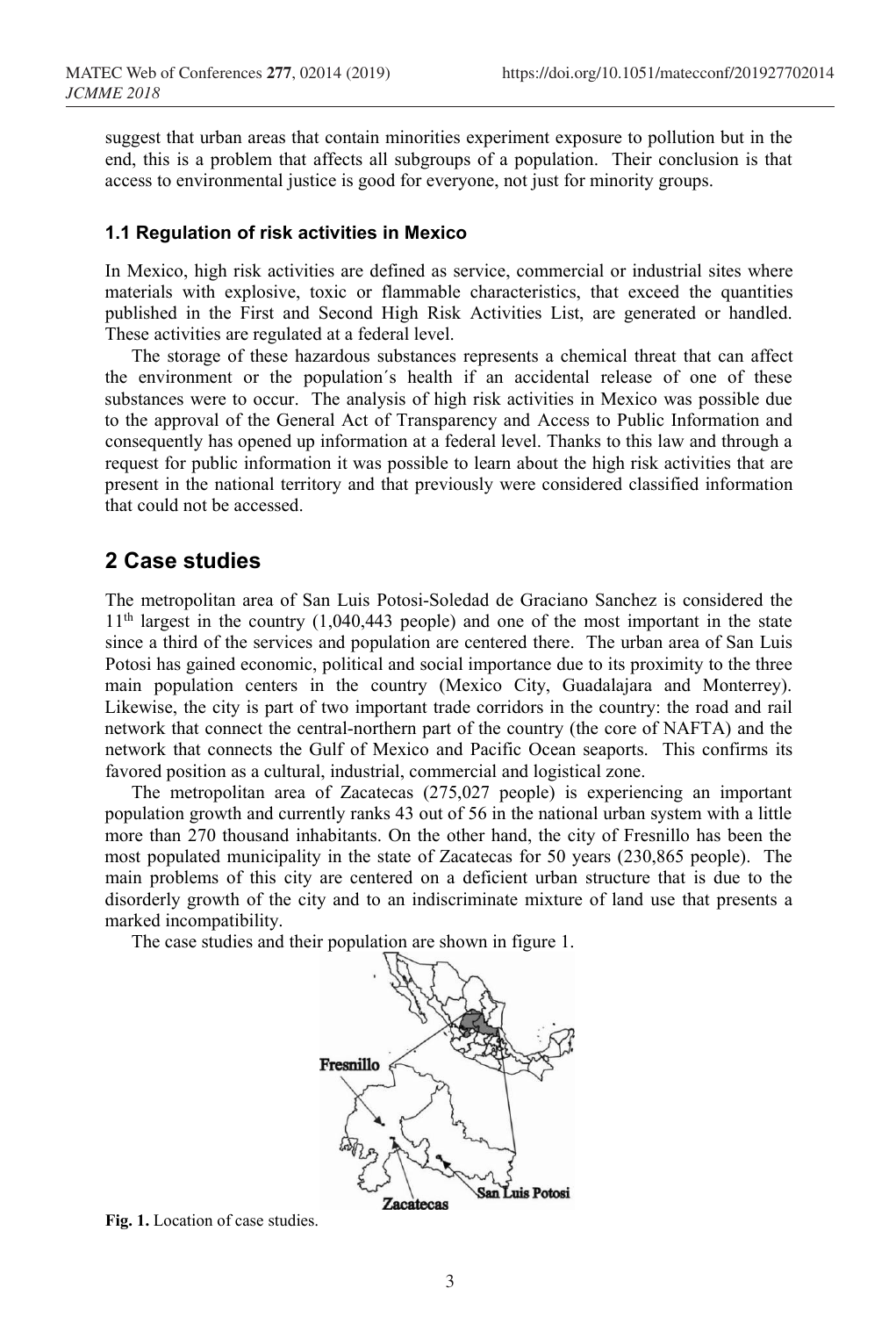suggest that urban areas that contain minorities experiment exposure to pollution but in the end, this is a problem that affects all subgroups of a population. Their conclusion is that access to environmental justice is good for everyone, not just for minority groups.

#### **1.1 Regulation of risk activities in Mexico**

In Mexico, high risk activities are defined as service, commercial or industrial sites where materials with explosive, toxic or flammable characteristics, that exceed the quantities published in the First and Second High Risk Activities List, are generated or handled. These activities are regulated at a federal level.

The storage of these hazardous substances represents a chemical threat that can affect the environment or the population´s health if an accidental release of one of these substances were to occur. The analysis of high risk activities in Mexico was possible due to the approval of the General Act of Transparency and Access to Public Information and consequently has opened up information at a federal level. Thanks to this law and through a request for public information it was possible to learn about the high risk activities that are present in the national territory and that previously were considered classified information that could not be accessed.

#### **2 Case studies**

The metropolitan area of San Luis Potosi-Soledad de Graciano Sanchez is considered the 11th largest in the country (1,040,443 people) and one of the most important in the state since a third of the services and population are centered there. The urban area of San Luis Potosi has gained economic, political and social importance due to its proximity to the three main population centers in the country (Mexico City, Guadalajara and Monterrey). Likewise, the city is part of two important trade corridors in the country: the road and rail network that connect the central-northern part of the country (the core of NAFTA) and the network that connects the Gulf of Mexico and Pacific Ocean seaports. This confirms its favored position as a cultural, industrial, commercial and logistical zone.

The metropolitan area of Zacatecas (275,027 people) is experiencing an important population growth and currently ranks 43 out of 56 in the national urban system with a little more than 270 thousand inhabitants. On the other hand, the city of Fresnillo has been the most populated municipality in the state of Zacatecas for 50 years (230,865 people). The main problems of this city are centered on a deficient urban structure that is due to the disorderly growth of the city and to an indiscriminate mixture of land use that presents a marked incompatibility.

The case studies and their population are shown in figure 1.



**Fig. 1.** Location of case studies.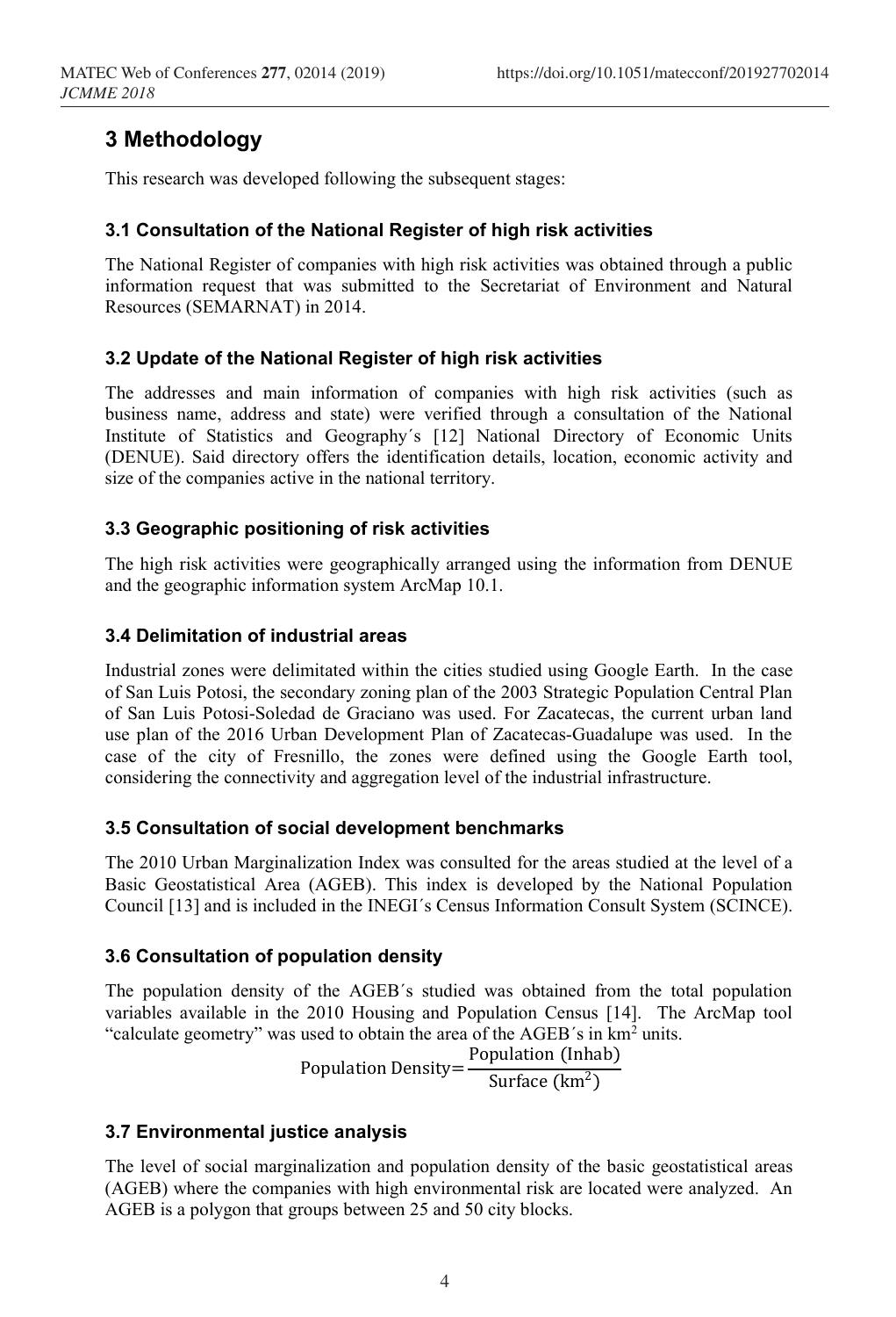## **3 Methodology**

This research was developed following the subsequent stages:

#### **3.1 Consultation of the National Register of high risk activities**

The National Register of companies with high risk activities was obtained through a public information request that was submitted to the Secretariat of Environment and Natural Resources (SEMARNAT) in 2014.

#### **3.2 Update of the National Register of high risk activities**

The addresses and main information of companies with high risk activities (such as business name, address and state) were verified through a consultation of the National Institute of Statistics and Geography´s [12] National Directory of Economic Units (DENUE). Said directory offers the identification details, location, economic activity and size of the companies active in the national territory.

#### **3.3 Geographic positioning of risk activities**

The high risk activities were geographically arranged using the information from DENUE and the geographic information system ArcMap 10.1.

#### **3.4 Delimitation of industrial areas**

Industrial zones were delimitated within the cities studied using Google Earth. In the case of San Luis Potosi, the secondary zoning plan of the 2003 Strategic Population Central Plan of San Luis Potosi-Soledad de Graciano was used. For Zacatecas, the current urban land use plan of the 2016 Urban Development Plan of Zacatecas-Guadalupe was used. In the case of the city of Fresnillo, the zones were defined using the Google Earth tool, considering the connectivity and aggregation level of the industrial infrastructure.

#### **3.5 Consultation of social development benchmarks**

The 2010 Urban Marginalization Index was consulted for the areas studied at the level of a Basic Geostatistical Area (AGEB). This index is developed by the National Population Council [13] and is included in the INEGI´s Census Information Consult System (SCINCE).

#### **3.6 Consultation of population density**

The population density of the AGEB´s studied was obtained from the total population variables available in the 2010 Housing and Population Census [14]. The ArcMap tool "calculate geometry" was used to obtain the area of the AGEB's in km<sup>2</sup> units.

```
Population Density=\frac{\text{Population (Inhab)}}{\text{Surface (km}^2)}
```
## **3.7 Environmental justice analysis**

The level of social marginalization and population density of the basic geostatistical areas (AGEB) where the companies with high environmental risk are located were analyzed. An AGEB is a polygon that groups between 25 and 50 city blocks.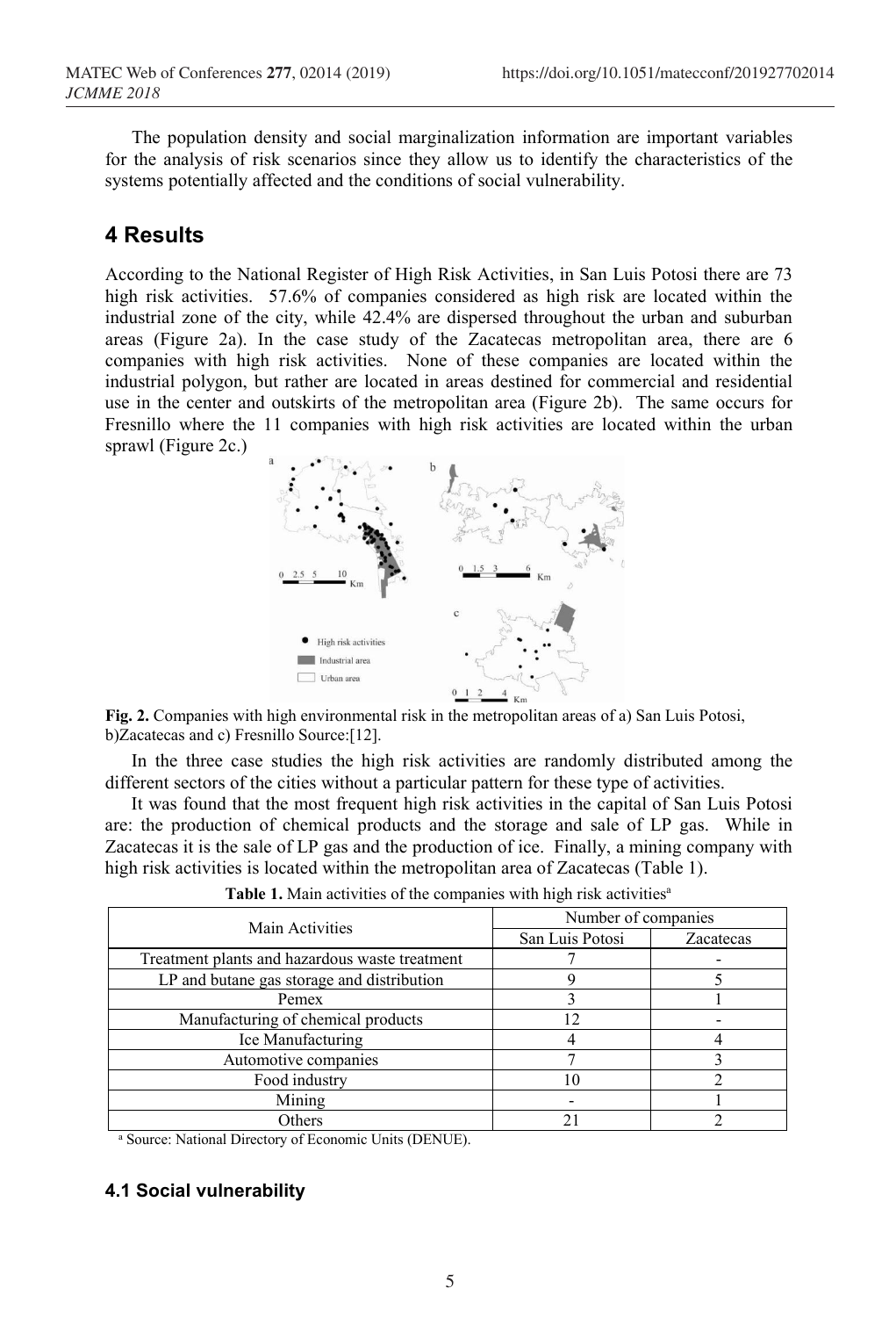The population density and social marginalization information are important variables for the analysis of risk scenarios since they allow us to identify the characteristics of the systems potentially affected and the conditions of social vulnerability.

## **4 Results**

According to the National Register of High Risk Activities, in San Luis Potosi there are 73 high risk activities. 57.6% of companies considered as high risk are located within the industrial zone of the city, while 42.4% are dispersed throughout the urban and suburban areas (Figure 2a). In the case study of the Zacatecas metropolitan area, there are 6 companies with high risk activities. None of these companies are located within the industrial polygon, but rather are located in areas destined for commercial and residential use in the center and outskirts of the metropolitan area (Figure 2b). The same occurs for Fresnillo where the 11 companies with high risk activities are located within the urban sprawl (Figure 2c.)



**Fig. 2.** Companies with high environmental risk in the metropolitan areas of a) San Luis Potosi, b)Zacatecas and c) Fresnillo Source:[12].

In the three case studies the high risk activities are randomly distributed among the different sectors of the cities without a particular pattern for these type of activities.

It was found that the most frequent high risk activities in the capital of San Luis Potosi are: the production of chemical products and the storage and sale of LP gas. While in Zacatecas it is the sale of LP gas and the production of ice. Finally, a mining company with high risk activities is located within the metropolitan area of Zacatecas (Table 1).

| Main Activities                                | Number of companies |           |
|------------------------------------------------|---------------------|-----------|
|                                                | San Luis Potosi     | Zacatecas |
| Treatment plants and hazardous waste treatment |                     |           |
| LP and butane gas storage and distribution     |                     |           |
| Pemex                                          |                     |           |
| Manufacturing of chemical products             |                     |           |
| Ice Manufacturing                              |                     |           |
| Automotive companies                           |                     |           |
| Food industry                                  |                     |           |
| Mining                                         |                     |           |
| Others                                         |                     |           |

**Table 1.** Main activities of the companies with high risk activities<sup>a</sup>

<sup>a</sup> Source: National Directory of Economic Units (DENUE).

#### **4.1 Social vulnerability**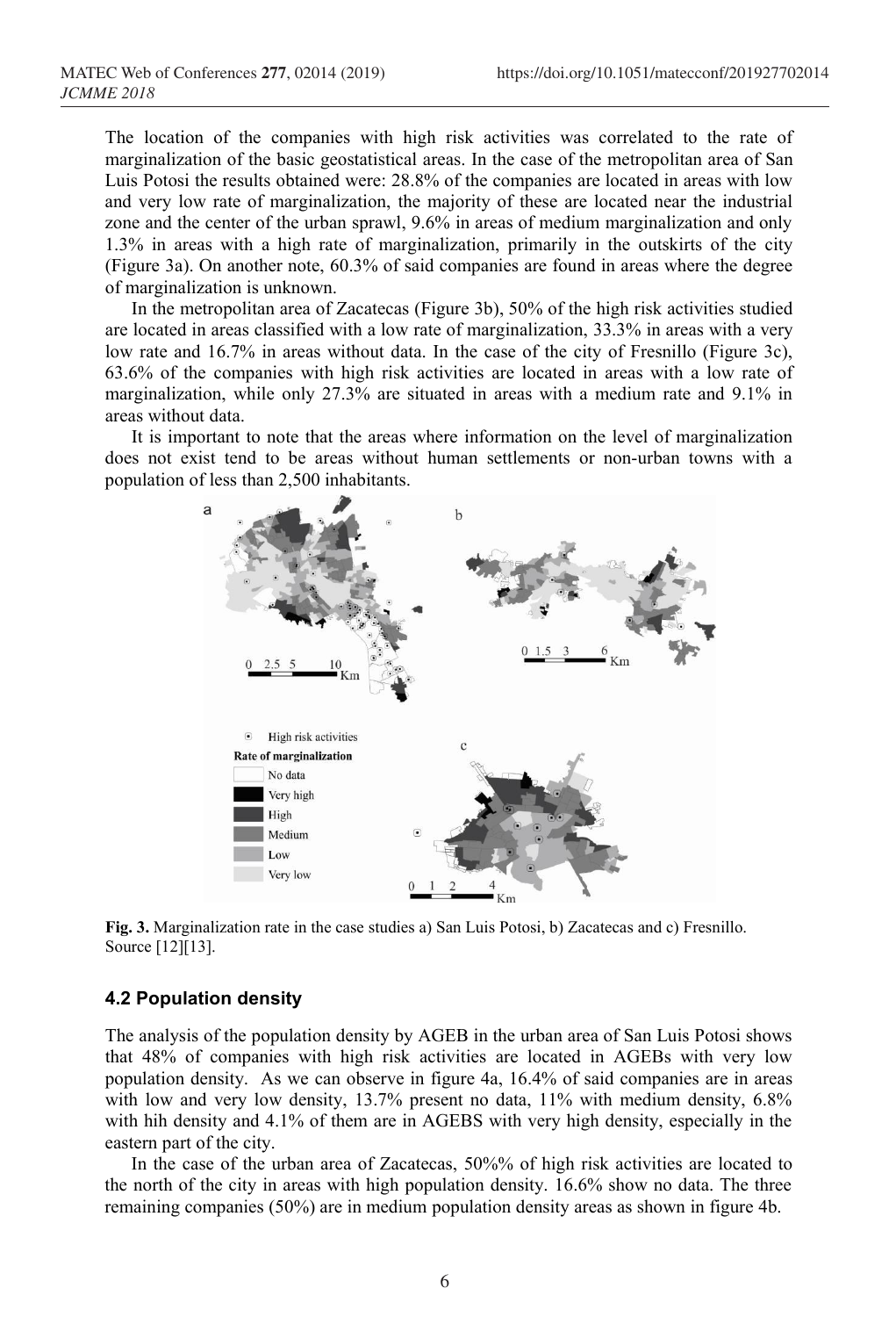The location of the companies with high risk activities was correlated to the rate of marginalization of the basic geostatistical areas. In the case of the metropolitan area of San Luis Potosi the results obtained were: 28.8% of the companies are located in areas with low and very low rate of marginalization, the majority of these are located near the industrial zone and the center of the urban sprawl, 9.6% in areas of medium marginalization and only 1.3% in areas with a high rate of marginalization, primarily in the outskirts of the city (Figure 3a). On another note, 60.3% of said companies are found in areas where the degree of marginalization is unknown.

In the metropolitan area of Zacatecas (Figure 3b), 50% of the high risk activities studied are located in areas classified with a low rate of marginalization, 33.3% in areas with a very low rate and 16.7% in areas without data. In the case of the city of Fresnillo (Figure 3c), 63.6% of the companies with high risk activities are located in areas with a low rate of marginalization, while only 27.3% are situated in areas with a medium rate and 9.1% in areas without data.

It is important to note that the areas where information on the level of marginalization does not exist tend to be areas without human settlements or non-urban towns with a population of less than 2,500 inhabitants.



**Fig. 3.** Marginalization rate in the case studies a) San Luis Potosi, b) Zacatecas and c) Fresnillo. Source [12][13].

#### **4.2 Population density**

The analysis of the population density by AGEB in the urban area of San Luis Potosi shows that 48% of companies with high risk activities are located in AGEBs with very low population density. As we can observe in figure 4a, 16.4% of said companies are in areas with low and very low density, 13.7% present no data, 11% with medium density, 6.8% with hih density and 4.1% of them are in AGEBS with very high density, especially in the eastern part of the city.

In the case of the urban area of Zacatecas, 50%% of high risk activities are located to the north of the city in areas with high population density. 16.6% show no data. The three remaining companies (50%) are in medium population density areas as shown in figure 4b.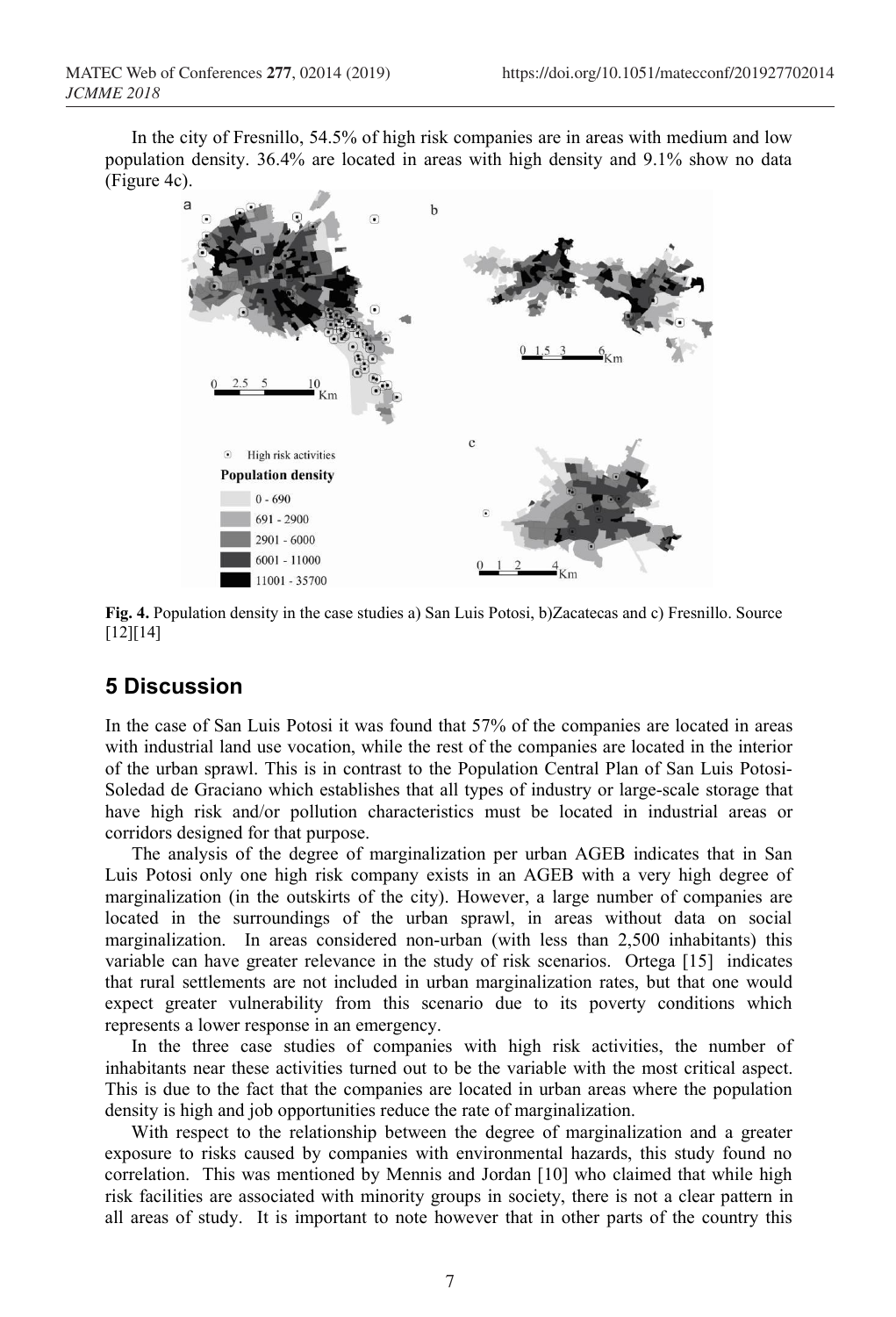In the city of Fresnillo, 54.5% of high risk companies are in areas with medium and low population density. 36.4% are located in areas with high density and 9.1% show no data (Figure 4c).



**Fig. 4.** Population density in the case studies a) San Luis Potosi, b)Zacatecas and c) Fresnillo. Source [12][14]

## **5 Discussion**

In the case of San Luis Potosi it was found that 57% of the companies are located in areas with industrial land use vocation, while the rest of the companies are located in the interior of the urban sprawl. This is in contrast to the Population Central Plan of San Luis Potosi-Soledad de Graciano which establishes that all types of industry or large-scale storage that have high risk and/or pollution characteristics must be located in industrial areas or corridors designed for that purpose.

The analysis of the degree of marginalization per urban AGEB indicates that in San Luis Potosi only one high risk company exists in an AGEB with a very high degree of marginalization (in the outskirts of the city). However, a large number of companies are located in the surroundings of the urban sprawl, in areas without data on social marginalization. In areas considered non-urban (with less than 2,500 inhabitants) this variable can have greater relevance in the study of risk scenarios. Ortega [15] indicates that rural settlements are not included in urban marginalization rates, but that one would expect greater vulnerability from this scenario due to its poverty conditions which represents a lower response in an emergency.

In the three case studies of companies with high risk activities, the number of inhabitants near these activities turned out to be the variable with the most critical aspect. This is due to the fact that the companies are located in urban areas where the population density is high and job opportunities reduce the rate of marginalization.

With respect to the relationship between the degree of marginalization and a greater exposure to risks caused by companies with environmental hazards, this study found no correlation. This was mentioned by Mennis and Jordan [10] who claimed that while high risk facilities are associated with minority groups in society, there is not a clear pattern in all areas of study. It is important to note however that in other parts of the country this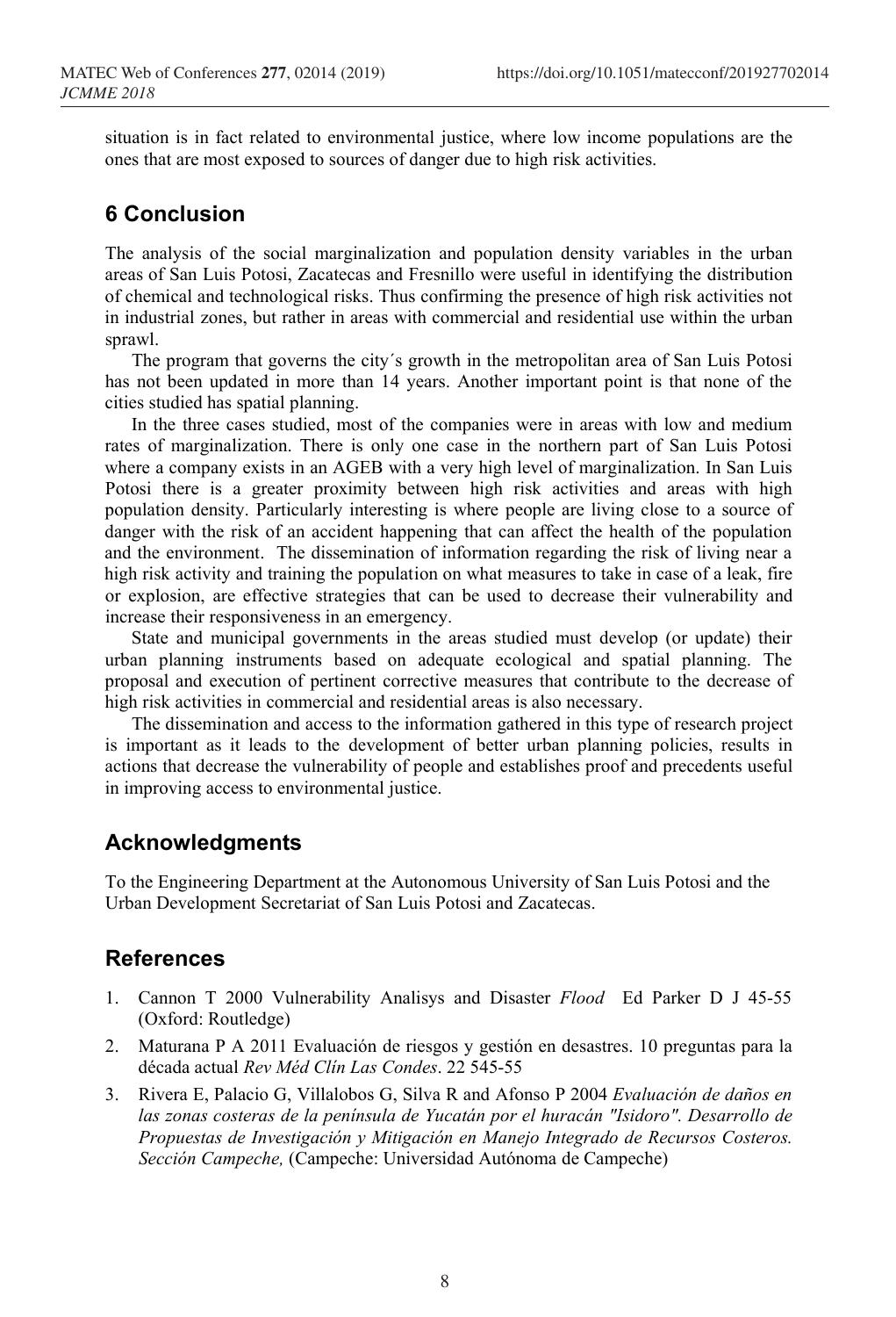situation is in fact related to environmental justice, where low income populations are the ones that are most exposed to sources of danger due to high risk activities.

## **6 Conclusion**

The analysis of the social marginalization and population density variables in the urban areas of San Luis Potosi, Zacatecas and Fresnillo were useful in identifying the distribution of chemical and technological risks. Thus confirming the presence of high risk activities not in industrial zones, but rather in areas with commercial and residential use within the urban sprawl.

The program that governs the city´s growth in the metropolitan area of San Luis Potosi has not been updated in more than 14 years. Another important point is that none of the cities studied has spatial planning.

In the three cases studied, most of the companies were in areas with low and medium rates of marginalization. There is only one case in the northern part of San Luis Potosi where a company exists in an AGEB with a very high level of marginalization. In San Luis Potosi there is a greater proximity between high risk activities and areas with high population density. Particularly interesting is where people are living close to a source of danger with the risk of an accident happening that can affect the health of the population and the environment. The dissemination of information regarding the risk of living near a high risk activity and training the population on what measures to take in case of a leak, fire or explosion, are effective strategies that can be used to decrease their vulnerability and increase their responsiveness in an emergency.

State and municipal governments in the areas studied must develop (or update) their urban planning instruments based on adequate ecological and spatial planning. The proposal and execution of pertinent corrective measures that contribute to the decrease of high risk activities in commercial and residential areas is also necessary.

The dissemination and access to the information gathered in this type of research project is important as it leads to the development of better urban planning policies, results in actions that decrease the vulnerability of people and establishes proof and precedents useful in improving access to environmental justice.

## **Acknowledgments**

To the Engineering Department at the Autonomous University of San Luis Potosi and the Urban Development Secretariat of San Luis Potosi and Zacatecas.

## **References**

- 1. Cannon T 2000 Vulnerability Analisys and Disaster *Flood* Ed Parker D J 45-55 (Oxford: Routledge)
- 2. Maturana P A 2011 Evaluación de riesgos y gestión en desastres. 10 preguntas para la década actual *Rev Méd Clín Las Condes*. 22 545-55
- 3. Rivera E, Palacio G, Villalobos G, Silva R and Afonso P 2004 *Evaluación de daños en las zonas costeras de la península de Yucatán por el huracán "Isidoro". Desarrollo de Propuestas de Investigación y Mitigación en Manejo Integrado de Recursos Costeros. Sección Campeche,* (Campeche: Universidad Autónoma de Campeche)